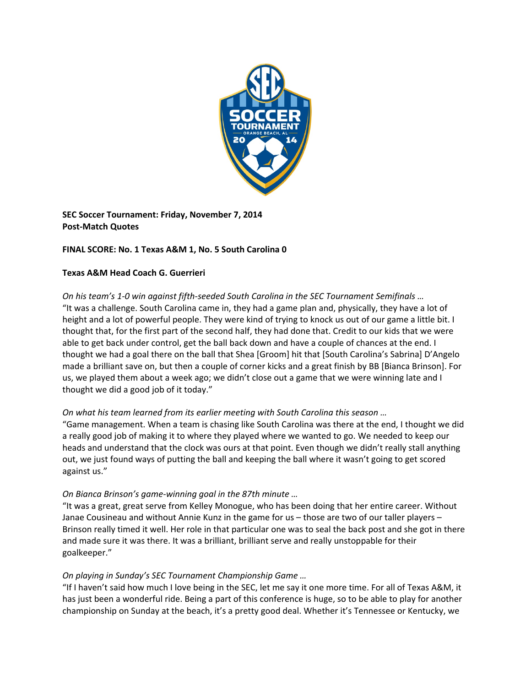

**SEC Soccer Tournament: Friday, November 7, 2014 Post‐Match Quotes**

# **FINAL SCORE: No. 1 Texas A&M 1, No. 5 South Carolina 0**

## **Texas A&M Head Coach G. Guerrieri**

On his team's 1-0 win against fifth-seeded South Carolina in the SEC Tournament Semifinals ... "It was a challenge. South Carolina came in, they had a game plan and, physically, they have a lot of height and a lot of powerful people. They were kind of trying to knock us out of our game a little bit. I thought that, for the first part of the second half, they had done that. Credit to our kids that we were able to get back under control, get the ball back down and have a couple of chances at the end. I thought we had a goal there on the ball that Shea [Groom] hit that [South Carolina's Sabrina] D'Angelo made a brilliant save on, but then a couple of corner kicks and a great finish by BB [Bianca Brinson]. For us, we played them about a week ago; we didn't close out a game that we were winning late and I thought we did a good job of it today."

# *On what his team learned from its earlier meeting with South Carolina this season …*

"Game management. When a team is chasing like South Carolina was there at the end, I thought we did a really good job of making it to where they played where we wanted to go. We needed to keep our heads and understand that the clock was ours at that point. Even though we didn't really stall anything out, we just found ways of putting the ball and keeping the ball where it wasn't going to get scored against us."

# *On Bianca Brinson's game‐winning goal in the 87th minute …*

"It was a great, great serve from Kelley Monogue, who has been doing that her entire career. Without Janae Cousineau and without Annie Kunz in the game for us – those are two of our taller players – Brinson really timed it well. Her role in that particular one was to seal the back post and she got in there and made sure it was there. It was a brilliant, brilliant serve and really unstoppable for their goalkeeper."

### *On playing in Sunday's SEC Tournament Championship Game …*

"If I haven't said how much I love being in the SEC, let me say it one more time. For all of Texas A&M, it has just been a wonderful ride. Being a part of this conference is huge, so to be able to play for another championship on Sunday at the beach, it's a pretty good deal. Whether it's Tennessee or Kentucky, we